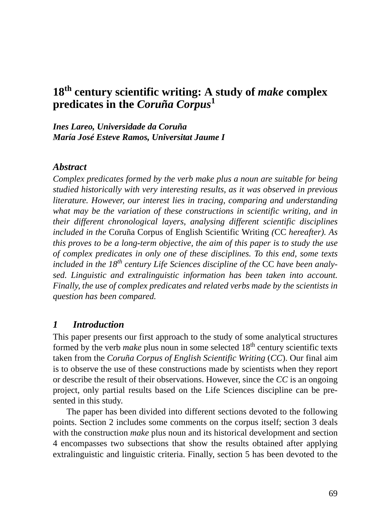# **18th century scientific writing: A study of** *make* **complex predicates in the** *Coruña Corpus***<sup>1</sup>**

*Ines Lareo, Universidade da Coruña María José Esteve Ramos, Universitat Jaume I*

### *Abstract*

*Complex predicates formed by the verb make plus a noun are suitable for being studied historically with very interesting results, as it was observed in previous literature. However, our interest lies in tracing, comparing and understanding what may be the variation of these constructions in scientific writing, and in their different chronological layers, analysing different scientific disciplines included in the* Coruña Corpus of English Scientific Writing *(*CC *hereafter). As this proves to be a long-term objective, the aim of this paper is to study the use of complex predicates in only one of these disciplines. To this end, some texts included in the 18th century Life Sciences discipline of the* CC *have been analysed. Linguistic and extralinguistic information has been taken into account. Finally, the use of complex predicates and related verbs made by the scientists in question has been compared.*

### *1 Introduction*

This paper presents our first approach to the study of some analytical structures formed by the verb *make* plus noun in some selected 18<sup>th</sup> century scientific texts taken from the *Coruña Corpus of English Scientific Writing* (*CC*). Our final aim is to observe the use of these constructions made by scientists when they report or describe the result of their observations. However, since the *CC* is an ongoing project, only partial results based on the Life Sciences discipline can be presented in this study.

The paper has been divided into different sections devoted to the following points. Section 2 includes some comments on the corpus itself; section 3 deals with the construction *make* plus noun and its historical development and section 4 encompasses two subsections that show the results obtained after applying extralinguistic and linguistic criteria. Finally, section 5 has been devoted to the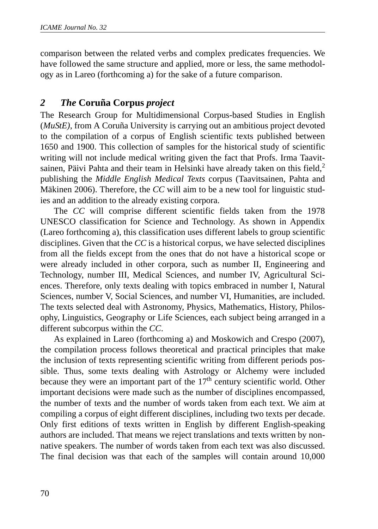comparison between the related verbs and complex predicates frequencies. We have followed the same structure and applied, more or less, the same methodology as in Lareo (forthcoming a) for the sake of a future comparison.

# *2 The* **Coruña Corpus** *project*

The Research Group for Multidimensional Corpus-based Studies in English (*MuStE)*, from A Coruña University is carrying out an ambitious project devoted to the compilation of a corpus of English scientific texts published between 1650 and 1900. This collection of samples for the historical study of scientific writing will not include medical writing given the fact that Profs. Irma Taavitsainen, Päivi Pahta and their team in Helsinki have already taken on this field, $2$ publishing the *Middle English Medical Texts* corpus (Taavitsainen, Pahta and Mäkinen 2006). Therefore, the *CC* will aim to be a new tool for linguistic studies and an addition to the already existing corpora.

The *CC* will comprise different scientific fields taken from the 1978 UNESCO classification for Science and Technology. As shown in Appendix (Lareo forthcoming a), this classification uses different labels to group scientific disciplines. Given that the *CC* is a historical corpus, we have selected disciplines from all the fields except from the ones that do not have a historical scope or were already included in other corpora, such as number II, Engineering and Technology, number III, Medical Sciences, and number IV, Agricultural Sciences. Therefore, only texts dealing with topics embraced in number I, Natural Sciences, number V, Social Sciences, and number VI, Humanities, are included. The texts selected deal with Astronomy, Physics, Mathematics, History, Philosophy, Linguistics, Geography or Life Sciences, each subject being arranged in a different subcorpus within the *CC*.

As explained in Lareo (forthcoming a) and Moskowich and Crespo (2007), the compilation process follows theoretical and practical principles that make the inclusion of texts representing scientific writing from different periods possible. Thus, some texts dealing with Astrology or Alchemy were included because they were an important part of the  $17<sup>th</sup>$  century scientific world. Other important decisions were made such as the number of disciplines encompassed, the number of texts and the number of words taken from each text. We aim at compiling a corpus of eight different disciplines, including two texts per decade. Only first editions of texts written in English by different English-speaking authors are included. That means we reject translations and texts written by nonnative speakers. The number of words taken from each text was also discussed. The final decision was that each of the samples will contain around 10,000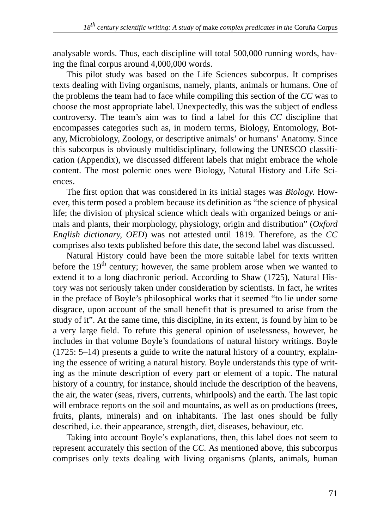analysable words. Thus, each discipline will total 500,000 running words, having the final corpus around 4,000,000 words.

This pilot study was based on the Life Sciences subcorpus. It comprises texts dealing with living organisms, namely, plants, animals or humans. One of the problems the team had to face while compiling this section of the *CC* was to choose the most appropriate label. Unexpectedly, this was the subject of endless controversy. The team's aim was to find a label for this *CC* discipline that encompasses categories such as, in modern terms, Biology, Entomology, Botany, Microbiology, Zoology, or descriptive animals' or humans' Anatomy. Since this subcorpus is obviously multidisciplinary, following the UNESCO classification (Appendix), we discussed different labels that might embrace the whole content. The most polemic ones were Biology, Natural History and Life Sciences.

The first option that was considered in its initial stages was *Biology*. However, this term posed a problem because its definition as "the science of physical life; the division of physical science which deals with organized beings or animals and plants, their morphology, physiology, origin and distribution" (*Oxford English dictionary, OED*) was not attested until 1819. Therefore, as the *CC* comprises also texts published before this date, the second label was discussed.

Natural History could have been the more suitable label for texts written before the 19<sup>th</sup> century; however, the same problem arose when we wanted to extend it to a long diachronic period. According to Shaw (1725), Natural History was not seriously taken under consideration by scientists. In fact, he writes in the preface of Boyle's philosophical works that it seemed "to lie under some disgrace, upon account of the small benefit that is presumed to arise from the study of it". At the same time, this discipline, in its extent, is found by him to be a very large field. To refute this general opinion of uselessness, however, he includes in that volume Boyle's foundations of natural history writings. Boyle (1725: 5–14) presents a guide to write the natural history of a country, explaining the essence of writing a natural history. Boyle understands this type of writing as the minute description of every part or element of a topic. The natural history of a country, for instance, should include the description of the heavens, the air, the water (seas, rivers, currents, whirlpools) and the earth. The last topic will embrace reports on the soil and mountains, as well as on productions (trees, fruits, plants, minerals) and on inhabitants. The last ones should be fully described, i.e. their appearance, strength, diet, diseases, behaviour, etc.

Taking into account Boyle's explanations, then, this label does not seem to represent accurately this section of the *CC.* As mentioned above, this subcorpus comprises only texts dealing with living organisms (plants, animals, human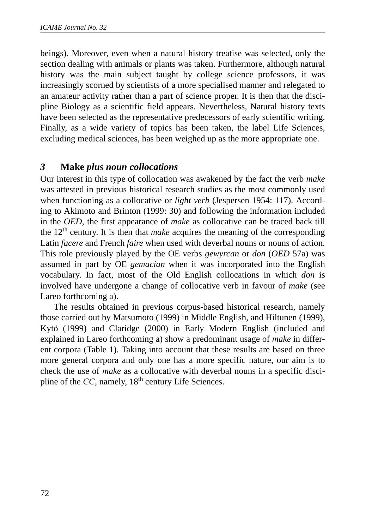beings). Moreover, even when a natural history treatise was selected, only the section dealing with animals or plants was taken. Furthermore, although natural history was the main subject taught by college science professors, it was increasingly scorned by scientists of a more specialised manner and relegated to an amateur activity rather than a part of science proper. It is then that the discipline Biology as a scientific field appears. Nevertheless, Natural history texts have been selected as the representative predecessors of early scientific writing. Finally, as a wide variety of topics has been taken, the label Life Sciences, excluding medical sciences, has been weighed up as the more appropriate one.

## *3* **Make** *plus noun collocations*

Our interest in this type of collocation was awakened by the fact the verb *make* was attested in previous historical research studies as the most commonly used when functioning as a collocative or *light verb* (Jespersen 1954: 117). According to Akimoto and Brinton (1999: 30) and following the information included in the *OED*, the first appearance of *make* as collocative can be traced back till the 12th century. It is then that *make* acquires the meaning of the corresponding Latin *facere* and French *faire* when used with deverbal nouns or nouns of action. This role previously played by the OE verbs *gewyrcan* or *don* (*OED* 57a) was assumed in part by OE *gemacian* when it was incorporated into the English vocabulary. In fact, most of the Old English collocations in which *don* is involved have undergone a change of collocative verb in favour of *make* (see Lareo forthcoming a).

The results obtained in previous corpus-based historical research, namely those carried out by Matsumoto (1999) in Middle English, and Hiltunen (1999), Kytö (1999) and Claridge (2000) in Early Modern English (included and explained in Lareo forthcoming a) show a predominant usage of *make* in different corpora (Table 1). Taking into account that these results are based on three more general corpora and only one has a more specific nature, our aim is to check the use of *make* as a collocative with deverbal nouns in a specific discipline of the  $CC$ , namely,  $18<sup>th</sup>$  century Life Sciences.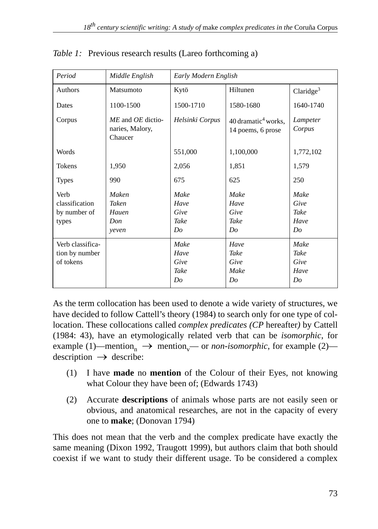| Period                                          | Middle English                                  | Early Modern English               |                                                        |                                           |  |  |  |
|-------------------------------------------------|-------------------------------------------------|------------------------------------|--------------------------------------------------------|-------------------------------------------|--|--|--|
| Authors                                         | Matsumoto                                       | Kytö                               | Hiltunen                                               | Claridge <sup>3</sup>                     |  |  |  |
| Dates                                           | 1100-1500                                       | 1500-1710                          | 1580-1680                                              | 1640-1740                                 |  |  |  |
| Corpus                                          | ME and OE dictio-<br>naries, Malory,<br>Chaucer | Helsinki Corpus                    | $40$ dramatic <sup>4</sup> works.<br>14 poems, 6 prose | Lampeter<br>Corpus                        |  |  |  |
| Words                                           |                                                 | 551,000                            | 1,100,000                                              | 1,772,102                                 |  |  |  |
| Tokens                                          | 1,950                                           | 2,056                              | 1,851                                                  | 1,579                                     |  |  |  |
| <b>Types</b>                                    | 990                                             | 675                                | 625                                                    | 250                                       |  |  |  |
| Verb<br>classification<br>by number of<br>types | <b>Maken</b><br>Taken<br>Hauen<br>Don<br>veven  | Make<br>Have<br>Give<br>Take<br>Do | Make<br>Have<br>Give<br>Take<br>Do                     | Make<br>Give<br>Take<br>Have<br>Do        |  |  |  |
| Verb classifica-<br>tion by number<br>of tokens |                                                 | Make<br>Have<br>Give<br>Take<br>Do | Have<br>Take<br>Give<br>Make<br>Do                     | Make<br><b>Take</b><br>Give<br>Have<br>Do |  |  |  |

*Table 1:* Previous research results (Lareo forthcoming a)

As the term collocation has been used to denote a wide variety of structures, we have decided to follow Cattell's theory (1984) to search only for one type of collocation. These collocations called *complex predicates (CP* hereafter*)* by Cattell (1984: 43), have an etymologically related verb that can be *isomorphic*, for example (1)—mention<sub>n</sub>  $\rightarrow$  mention<sub>v</sub>— or *non-isomorphic*, for example (2)—  $\text{description} \rightarrow \text{describe:}$ 

- (1) I have **made** no **mention** of the Colour of their Eyes, not knowing what Colour they have been of; (Edwards 1743)
- (2) Accurate **descriptions** of animals whose parts are not easily seen or obvious, and anatomical researches, are not in the capacity of every one to **make**; (Donovan 1794)

This does not mean that the verb and the complex predicate have exactly the same meaning (Dixon 1992, Traugott 1999), but authors claim that both should coexist if we want to study their different usage. To be considered a complex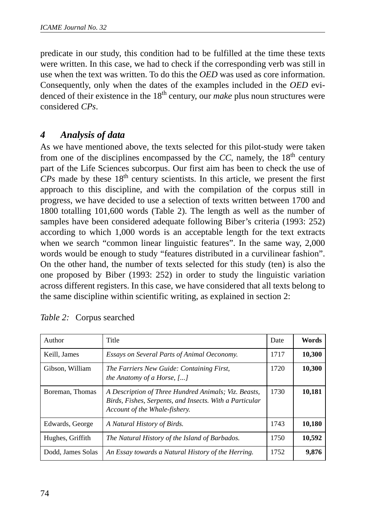predicate in our study, this condition had to be fulfilled at the time these texts were written. In this case, we had to check if the corresponding verb was still in use when the text was written. To do this the *OED* was used as core information. Consequently, only when the dates of the examples included in the *OED* evidenced of their existence in the 18th century, our *make* plus noun structures were considered *CPs*.

# *4 Analysis of data*

As we have mentioned above, the texts selected for this pilot-study were taken from one of the disciplines encompassed by the  $CC$ , namely, the  $18<sup>th</sup>$  century part of the Life Sciences subcorpus. Our first aim has been to check the use of  $CPs$  made by these  $18<sup>th</sup>$  century scientists. In this article, we present the first approach to this discipline, and with the compilation of the corpus still in progress, we have decided to use a selection of texts written between 1700 and 1800 totalling 101,600 words (Table 2). The length as well as the number of samples have been considered adequate following Biber's criteria (1993: 252) according to which 1,000 words is an acceptable length for the text extracts when we search "common linear linguistic features". In the same way, 2,000 words would be enough to study "features distributed in a curvilinear fashion". On the other hand, the number of texts selected for this study (ten) is also the one proposed by Biber (1993: 252) in order to study the linguistic variation across different registers. In this case, we have considered that all texts belong to the same discipline within scientific writing, as explained in section 2:

| Author            | Title                                                                                                                                            | Date | Words  |
|-------------------|--------------------------------------------------------------------------------------------------------------------------------------------------|------|--------|
| Keill, James      | Essays on Several Parts of Animal Oeconomy.                                                                                                      | 1717 | 10,300 |
| Gibson, William   | The Farriers New Guide: Containing First,<br>the Anatomy of a Horse, []                                                                          | 1720 | 10,300 |
| Boreman, Thomas   | A Description of Three Hundred Animals; Viz. Beasts,<br>Birds, Fishes, Serpents, and Insects. With a Particular<br>Account of the Whale-fishery. | 1730 | 10,181 |
| Edwards, George   | A Natural History of Birds.                                                                                                                      | 1743 | 10,180 |
| Hughes, Griffith  | The Natural History of the Island of Barbados.                                                                                                   | 1750 | 10,592 |
| Dodd, James Solas | An Essay towards a Natural History of the Herring.                                                                                               | 1752 | 9,876  |

*Table 2:* Corpus searched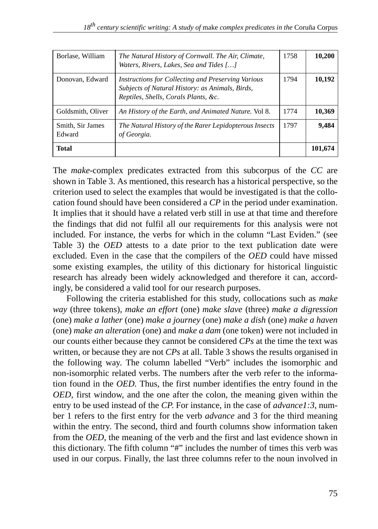| Borlase, William           | The Natural History of Cornwall. The Air, Climate,<br>Waters, Rivers, Lakes, Sea and Tides []                                                 | 1758 | 10,200  |
|----------------------------|-----------------------------------------------------------------------------------------------------------------------------------------------|------|---------|
| Donovan, Edward            | Instructions for Collecting and Preserving Various<br>Subjects of Natural History: as Animals, Birds,<br>Reptiles, Shells, Corals Plants, &c. | 1794 | 10,192  |
| Goldsmith, Oliver          | An History of the Earth, and Animated Nature. Vol 8.                                                                                          | 1774 | 10,369  |
| Smith, Sir James<br>Edward | The Natural History of the Rarer Lepidopterous Insects<br>of Georgia.                                                                         | 1797 | 9,484   |
| <b>Total</b>               |                                                                                                                                               |      | 101.674 |

The *make*-complex predicates extracted from this subcorpus of the *CC* are shown in Table 3. As mentioned, this research has a historical perspective, so the criterion used to select the examples that would be investigated is that the collocation found should have been considered a *CP* in the period under examination. It implies that it should have a related verb still in use at that time and therefore the findings that did not fulfil all our requirements for this analysis were not included. For instance, the verbs for which in the column "Last Eviden." (see Table 3) the *OED* attests to a date prior to the text publication date were excluded. Even in the case that the compilers of the *OED* could have missed some existing examples, the utility of this dictionary for historical linguistic research has already been widely acknowledged and therefore it can, accordingly, be considered a valid tool for our research purposes.

Following the criteria established for this study, collocations such as *make way* (three tokens), *make an effort* (one) *make slave* (three) *make a digression* (one) *make a lather* (one) *make a journey* (one) *make a dish* (one) *make a haven* (one) *make an alteration* (one) and *make a dam* (one token) were not included in our counts either because they cannot be considered *CPs* at the time the text was written, or because they are not *CPs* at all. Table 3 shows the results organised in the following way. The column labelled "Verb" includes the isomorphic and non-isomorphic related verbs. The numbers after the verb refer to the information found in the *OED.* Thus*,* the first number identifies the entry found in the *OED*, first window, and the one after the colon, the meaning given within the entry to be used instead of the *CP*. For instance, in the case of *advance1:3*, number 1 refers to the first entry for the verb *advance* and 3 for the third meaning within the entry. The second, third and fourth columns show information taken from the *OED*, the meaning of the verb and the first and last evidence shown in this dictionary. The fifth column "#" includes the number of times this verb was used in our corpus. Finally, the last three columns refer to the noun involved in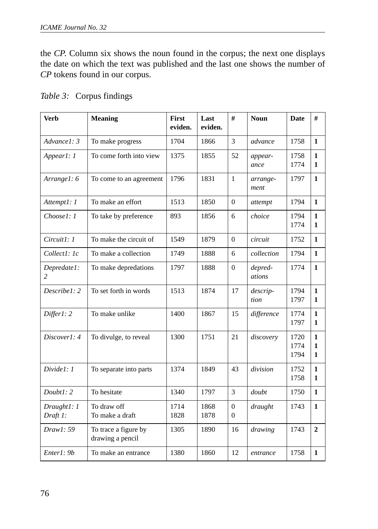the *CP*. Column six shows the noun found in the corpus; the next one displays the date on which the text was published and the last one shows the number of *CP* tokens found in our corpus.

| <b>Verb</b>                   | <b>Meaning</b>                           | First<br>eviden. | Last<br>eviden. | #                    | <b>Noun</b>       | <b>Date</b>          | #                                 |
|-------------------------------|------------------------------------------|------------------|-----------------|----------------------|-------------------|----------------------|-----------------------------------|
| Advance1: 3                   | To make progress                         | 1704             | 1866            | 3                    | advance           | 1758                 | $\mathbf{1}$                      |
| Appear1: 1                    | To come forth into view                  | 1375             | 1855            | 52                   | appear-<br>ance   | 1758<br>1774         | $\mathbf{1}$<br>1                 |
| Arrangel: 6                   | To come to an agreement                  | 1796             | 1831            | $\mathbf{1}$         | arrange-<br>ment  | 1797                 | $\mathbf{1}$                      |
| Attempt1: 1                   | To make an effort                        | 1513             | 1850            | $\Omega$             | attempt           | 1794                 | $\mathbf{1}$                      |
| Choose1: 1                    | To take by preference                    | 893              | 1856            | 6                    | choice            | 1794<br>1774         | $\mathbf{1}$<br>1                 |
| $Circuit!$ : 1                | To make the circuit of                   | 1549             | 1879            | $\Omega$             | circuit           | 1752                 | $\mathbf{1}$                      |
| Collect1: 1c                  | To make a collection                     | 1749             | 1888            | 6                    | collection        | 1794                 | $\mathbf{1}$                      |
| Depredate1:<br>$\mathfrak{D}$ | To make depredations                     | 1797             | 1888            | $\overline{0}$       | depred-<br>ations | 1774                 | $\mathbf{1}$                      |
| Describe1: 2                  | To set forth in words                    | 1513             | 1874            | 17                   | descrip-<br>tion  | 1794<br>1797         | $\mathbf{1}$<br>$\mathbf{1}$      |
| Differ1: 2                    | To make unlike                           | 1400             | 1867            | 15                   | difference        | 1774<br>1797         | $\mathbf{1}$<br>$\mathbf{1}$      |
| Discover1: 4                  | To divulge, to reveal                    | 1300             | 1751            | 21                   | discovery         | 1720<br>1774<br>1794 | $\mathbf{1}$<br>$\mathbf{1}$<br>1 |
| Divide1: 1                    | To separate into parts                   | 1374             | 1849            | 43                   | division          | 1752<br>1758         | $\mathbf{1}$<br>1                 |
| Double1:2                     | To hesitate                              | 1340             | 1797            | 3                    | doubt             | 1750                 | $\mathbf{1}$                      |
| Draught1: 1<br>Draft 1:       | To draw off<br>To make a draft           | 1714<br>1828     | 1868<br>1878    | $\theta$<br>$\Omega$ | draught           | 1743                 | $\mathbf{1}$                      |
| Draw 1: 59                    | To trace a figure by<br>drawing a pencil | 1305             | 1890            | 16                   | drawing           | 1743                 | $\overline{2}$                    |
| Enter1: 9b                    | To make an entrance                      | 1380             | 1860            | 12                   | entrance          | 1758                 | $\mathbf{1}$                      |

|  | Table 3: Corpus findings |
|--|--------------------------|
|  |                          |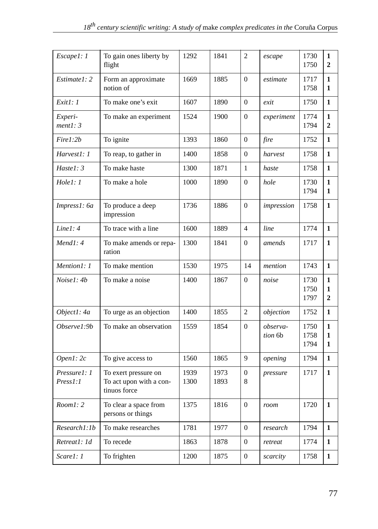| Escape1: 1               | To gain ones liberty by<br>flight                               | 1292         | 1841         | $\overline{2}$           | escape              | 1730<br>1750         | $\mathbf{1}$<br>$\overline{2}$      |
|--------------------------|-----------------------------------------------------------------|--------------|--------------|--------------------------|---------------------|----------------------|-------------------------------------|
| Estimate1: 2             | Form an approximate<br>notion of                                | 1669         | 1885         | $\Omega$                 | estimate            | 1717<br>1758         | $\mathbf{1}$<br>1                   |
| Exit1: 1                 | To make one's exit                                              | 1607         | 1890         | $\mathbf{0}$             | exit                | 1750                 | $\mathbf{1}$                        |
| Experi-<br>ment1: 3      | To make an experiment                                           | 1524         | 1900         | $\Omega$                 | experiment          | 1774<br>1794         | $\mathbf{1}$<br>$\mathbf{2}$        |
| Fire1:2b                 | To ignite                                                       | 1393         | 1860         | $\Omega$                 | fire                | 1752                 | $\mathbf{1}$                        |
| Harvest1: 1              | To reap, to gather in                                           | 1400         | 1858         | $\theta$                 | harvest             | 1758                 | $\mathbf{1}$                        |
| Hastel: 3                | To make haste                                                   | 1300         | 1871         | $\mathbf{1}$             | haste               | 1758                 | $\mathbf{1}$                        |
| Hole1:1                  | To make a hole                                                  | 1000         | 1890         | $\mathbf{0}$             | hole                | 1730<br>1794         | $\mathbf{1}$<br>$\mathbf{1}$        |
| Impress1: 6a             | To produce a deep<br>impression                                 | 1736         | 1886         | $\Omega$                 | impression          | 1758                 | 1                                   |
| Line 1:4                 | To trace with a line                                            | 1600         | 1889         | $\overline{\mathcal{L}}$ | line                | 1774                 | $\mathbf{1}$                        |
| Mend1:4                  | To make amends or repa-<br>ration                               | 1300         | 1841         | $\theta$                 | amends              | 1717                 | $\mathbf{1}$                        |
| Mention1: 1              | To make mention                                                 | 1530         | 1975         | 14                       | mention             | 1743                 | $\mathbf{1}$                        |
| Noise1: 4b               | To make a noise                                                 | 1400         | 1867         | $\Omega$                 | noise               | 1730<br>1750<br>1797 | $\mathbf{1}$<br>1<br>$\overline{2}$ |
| Object1: 4a              | To urge as an objection                                         | 1400         | 1855         | $\overline{c}$           | objection           | 1752                 | $\mathbf{1}$                        |
| Observe1:9b              | To make an observation                                          | 1559         | 1854         | $\overline{0}$           | observa-<br>tion 6b | 1750<br>1758<br>1794 | $\mathbf{1}$<br>1<br>1              |
| Open1:2c                 | To give access to                                               | 1560         | 1865         | 9                        | opening             | 1794                 | 1                                   |
| Pressure1: 1<br>Press1:1 | To exert pressure on<br>To act upon with a con-<br>tinuos force | 1939<br>1300 | 1973<br>1893 | $\overline{0}$<br>8      | pressure            | 1717                 | $\mathbf{1}$                        |
| Room1:2                  | To clear a space from<br>persons or things                      | 1375         | 1816         | $\Omega$                 | room                | 1720                 | $\mathbf{1}$                        |
| Research1:1b             | To make researches                                              | 1781         | 1977         | $\Omega$                 | research            | 1794                 | 1                                   |
| Retreat1: 1d             | To recede                                                       | 1863         | 1878         | $\overline{0}$           | retreat             | 1774                 | $\mathbf{1}$                        |
| Scare1: 1                | To frighten                                                     | 1200         | 1875         | $\overline{0}$           | scarcity            | 1758                 | $\mathbf{1}$                        |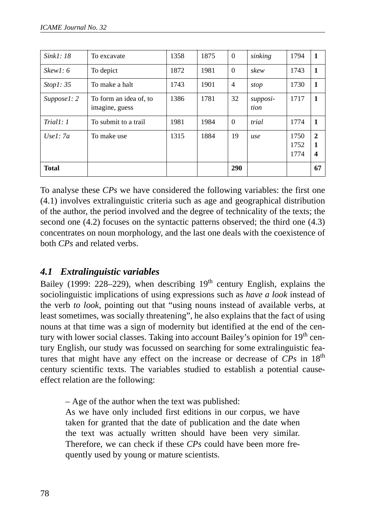| Sink1: 18    | To excavate                              | 1358 | 1875 | $\theta$       | sinking          | 1794                 | 1                                            |
|--------------|------------------------------------------|------|------|----------------|------------------|----------------------|----------------------------------------------|
| Skew1: 6     | To depict                                | 1872 | 1981 | $\theta$       | skew             | 1743                 | $\mathbf{1}$                                 |
| Stop1: 35    | To make a halt                           | 1743 | 1901 | $\overline{4}$ | stop             | 1730                 | 1                                            |
| Suppose 1: 2 | To form an idea of, to<br>imagine, guess | 1386 | 1781 | 32             | supposi-<br>tion | 1717                 | 1                                            |
| Trial1: 1    | To submit to a trail                     | 1981 | 1984 | $\Omega$       | trial            | 1774                 | 1                                            |
| Usel: $7a$   | To make use                              | 1315 | 1884 | 19             | use              | 1750<br>1752<br>1774 | $\mathbf{2}$<br>1<br>$\overline{\mathbf{4}}$ |
| <b>Total</b> |                                          |      |      | 290            |                  |                      | 67                                           |

To analyse these *CPs* we have considered the following variables: the first one (4.1) involves extralinguistic criteria such as age and geographical distribution of the author, the period involved and the degree of technicality of the texts; the second one (4.2) focuses on the syntactic patterns observed; the third one (4.3) concentrates on noun morphology, and the last one deals with the coexistence of both *CPs* and related verbs.

# *4.1 Extralinguistic variables*

Bailey (1999: 228–229), when describing  $19<sup>th</sup>$  century English, explains the sociolinguistic implications of using expressions such as *have a look* instead of the verb *to look*, pointing out that "using nouns instead of available verbs, at least sometimes, was socially threatening", he also explains that the fact of using nouns at that time was a sign of modernity but identified at the end of the century with lower social classes. Taking into account Bailey's opinion for 19<sup>th</sup> century English, our study was focussed on searching for some extralinguistic features that might have any effect on the increase or decrease of CPs in 18<sup>th</sup> century scientific texts. The variables studied to establish a potential causeeffect relation are the following:

– Age of the author when the text was published:

As we have only included first editions in our corpus, we have taken for granted that the date of publication and the date when the text was actually written should have been very similar. Therefore, we can check if these *CPs* could have been more frequently used by young or mature scientists.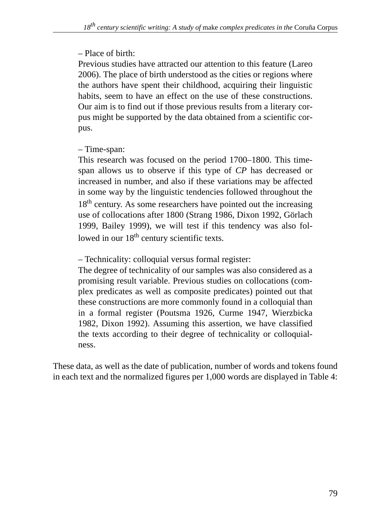# – Place of birth:

Previous studies have attracted our attention to this feature (Lareo 2006). The place of birth understood as the cities or regions where the authors have spent their childhood, acquiring their linguistic habits, seem to have an effect on the use of these constructions. Our aim is to find out if those previous results from a literary corpus might be supported by the data obtained from a scientific corpus.

## – Time-span:

This research was focused on the period 1700–1800. This timespan allows us to observe if this type of *CP* has decreased or increased in number, and also if these variations may be affected in some way by the linguistic tendencies followed throughout the 18<sup>th</sup> century. As some researchers have pointed out the increasing use of collocations after 1800 (Strang 1986, Dixon 1992, Görlach 1999, Bailey 1999), we will test if this tendency was also followed in our 18<sup>th</sup> century scientific texts.

– Technicality: colloquial versus formal register:

The degree of technicality of our samples was also considered as a promising result variable. Previous studies on collocations (complex predicates as well as composite predicates) pointed out that these constructions are more commonly found in a colloquial than in a formal register (Poutsma 1926, Curme 1947, Wierzbicka 1982, Dixon 1992). Assuming this assertion, we have classified the texts according to their degree of technicality or colloquialness.

These data, as well as the date of publication, number of words and tokens found in each text and the normalized figures per 1,000 words are displayed in Table 4: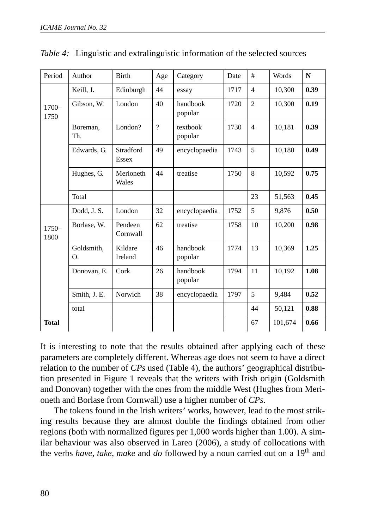| Period           | Author           | Birth               | Age      | Category            | Date | #              | Words   | N    |
|------------------|------------------|---------------------|----------|---------------------|------|----------------|---------|------|
|                  | Keill, J.        | Edinburgh           | 44       | essay               | 1717 | $\overline{4}$ | 10,300  | 0.39 |
| $1700 -$<br>1750 | Gibson, W.       | London              | 40       | handbook<br>popular | 1720 | $\overline{2}$ | 10,300  | 0.19 |
|                  | Boreman,<br>Th.  | London?             | $\gamma$ | textbook<br>popular | 1730 | $\overline{4}$ | 10,181  | 0.39 |
|                  | Edwards, G.      | Stradford<br>Essex  | 49       | encyclopaedia       | 1743 | 5              | 10,180  | 0.49 |
|                  | Hughes, G.       | Merioneth<br>Wales  | 44       | treatise            | 1750 | 8              | 10,592  | 0.75 |
|                  | Total            |                     |          |                     |      | 23             | 51,563  | 0.45 |
|                  | Dodd, J. S.      | London              | 32       | encyclopaedia       | 1752 | 5              | 9,876   | 0.50 |
| $1750-$<br>1800  | Borlase, W.      | Pendeen<br>Cornwall | 62       | treatise            | 1758 | 10             | 10,200  | 0.98 |
|                  | Goldsmith,<br>O. | Kildare<br>Ireland  | 46       | handbook<br>popular | 1774 | 13             | 10,369  | 1.25 |
|                  | Donovan, E.      | Cork                | 26       | handbook<br>popular | 1794 | 11             | 10,192  | 1.08 |
|                  | Smith, J. E.     | Norwich             | 38       | encyclopaedia       | 1797 | 5              | 9,484   | 0.52 |
|                  | total            |                     |          |                     |      | 44             | 50,121  | 0.88 |
| <b>Total</b>     |                  |                     |          |                     |      | 67             | 101,674 | 0.66 |

*Table 4:* Linguistic and extralinguistic information of the selected sources

It is interesting to note that the results obtained after applying each of these parameters are completely different. Whereas age does not seem to have a direct relation to the number of *CPs* used (Table 4), the authors' geographical distribution presented in Figure 1 reveals that the writers with Irish origin (Goldsmith and Donovan) together with the ones from the middle West (Hughes from Merioneth and Borlase from Cornwall) use a higher number of *CPs*.

The tokens found in the Irish writers' works, however, lead to the most striking results because they are almost double the findings obtained from other regions (both with normalized figures per 1,000 words higher than 1.00). A similar behaviour was also observed in Lareo (2006), a study of collocations with the verbs have, take, make and do followed by a noun carried out on a 19<sup>th</sup> and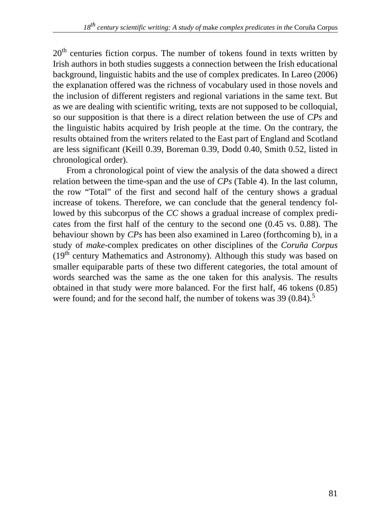20<sup>th</sup> centuries fiction corpus. The number of tokens found in texts written by Irish authors in both studies suggests a connection between the Irish educational background, linguistic habits and the use of complex predicates. In Lareo (2006) the explanation offered was the richness of vocabulary used in those novels and the inclusion of different registers and regional variations in the same text. But as we are dealing with scientific writing, texts are not supposed to be colloquial, so our supposition is that there is a direct relation between the use of *CPs* and the linguistic habits acquired by Irish people at the time. On the contrary, the results obtained from the writers related to the East part of England and Scotland are less significant (Keill 0.39, Boreman 0.39, Dodd 0.40, Smith 0.52, listed in chronological order).

From a chronological point of view the analysis of the data showed a direct relation between the time-span and the use of *CPs* (Table 4). In the last column, the row "Total" of the first and second half of the century shows a gradual increase of tokens. Therefore, we can conclude that the general tendency followed by this subcorpus of the *CC* shows a gradual increase of complex predicates from the first half of the century to the second one (0.45 vs. 0.88). The behaviour shown by *CPs* has been also examined in Lareo (forthcoming b), in a study of *make*-complex predicates on other disciplines of the *Coruña Corpus*  $(19<sup>th</sup>$  century Mathematics and Astronomy). Although this study was based on smaller equiparable parts of these two different categories, the total amount of words searched was the same as the one taken for this analysis. The results obtained in that study were more balanced. For the first half, 46 tokens (0.85) were found; and for the second half, the number of tokens was  $39(0.84)$ .<sup>5</sup>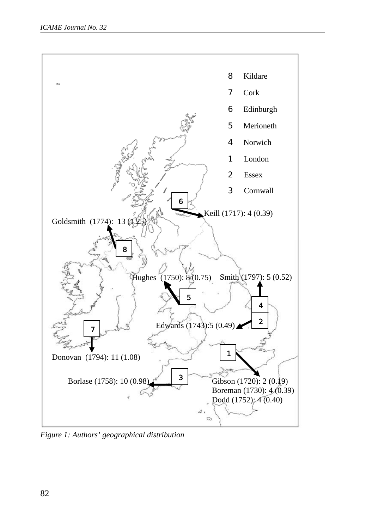

*Figure 1: Authors' geographical distribution*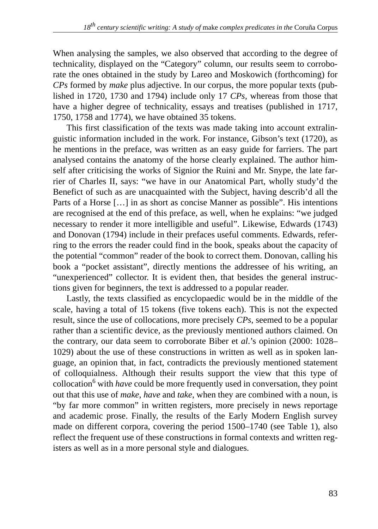When analysing the samples, we also observed that according to the degree of technicality, displayed on the "Category" column, our results seem to corroborate the ones obtained in the study by Lareo and Moskowich (forthcoming) for *CPs* formed by *make* plus adjective. In our corpus, the more popular texts (published in 1720, 1730 and 1794) include only 17 *CPs,* whereas from those that have a higher degree of technicality, essays and treatises (published in 1717, 1750, 1758 and 1774), we have obtained 35 tokens.

This first classification of the texts was made taking into account extralinguistic information included in the work. For instance, Gibson's text (1720), as he mentions in the preface, was written as an easy guide for farriers. The part analysed contains the anatomy of the horse clearly explained. The author himself after criticising the works of Signior the Ruini and Mr. Snype, the late farrier of Charles II, says: "we have in our Anatomical Part, wholly study'd the Benefict of such as are unacquainted with the Subject, having describ'd all the Parts of a Horse […] in as short as concise Manner as possible". His intentions are recognised at the end of this preface, as well, when he explains: "we judged necessary to render it more intelligible and useful". Likewise, Edwards (1743) and Donovan (1794) include in their prefaces useful comments. Edwards, referring to the errors the reader could find in the book, speaks about the capacity of the potential "common" reader of the book to correct them. Donovan, calling his book a "pocket assistant", directly mentions the addressee of his writing, an "unexperienced" collector. It is evident then, that besides the general instructions given for beginners, the text is addressed to a popular reader.

Lastly, the texts classified as encyclopaedic would be in the middle of the scale, having a total of 15 tokens (five tokens each). This is not the expected result, since the use of collocations, more precisely *CPs*, seemed to be a popular rather than a scientific device, as the previously mentioned authors claimed. On the contrary, our data seem to corroborate Biber et *al*.'s opinion (2000: 1028– 1029) about the use of these constructions in written as well as in spoken language, an opinion that, in fact, contradicts the previously mentioned statement of colloquialness. Although their results support the view that this type of collocation<sup>6</sup> with *have* could be more frequently used in conversation, they point out that this use of *make*, *have* and *take*, when they are combined with a noun, is "by far more common" in written registers, more precisely in news reportage and academic prose. Finally, the results of the Early Modern English survey made on different corpora, covering the period 1500–1740 (see Table 1), also reflect the frequent use of these constructions in formal contexts and written registers as well as in a more personal style and dialogues.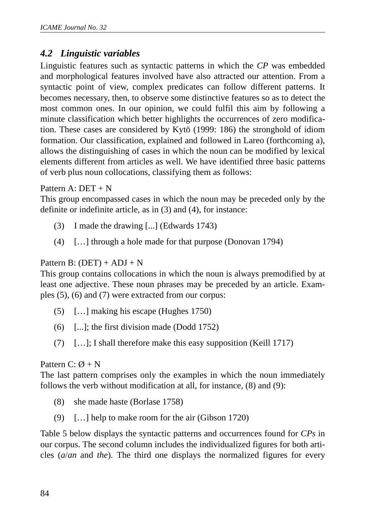## *4.2 Linguistic variables*

Linguistic features such as syntactic patterns in which the *CP* was embedded and morphological features involved have also attracted our attention. From a syntactic point of view, complex predicates can follow different patterns. It becomes necessary, then, to observe some distinctive features so as to detect the most common ones. In our opinion, we could fulfil this aim by following a minute classification which better highlights the occurrences of zero modification. These cases are considered by Kytö (1999: 186) the stronghold of idiom formation. Our classification, explained and followed in Lareo (forthcoming a), allows the distinguishing of cases in which the noun can be modified by lexical elements different from articles as well. We have identified three basic patterns of verb plus noun collocations, classifying them as follows:

Pattern A: DET + N

This group encompassed cases in which the noun may be preceded only by the definite or indefinite article, as in (3) and (4), for instance:

- (3) I made the drawing [...] (Edwards 1743)
- (4) […] through a hole made for that purpose (Donovan 1794)

### Pattern B:  $(DET) + ADJ + N$

This group contains collocations in which the noun is always premodified by at least one adjective. These noun phrases may be preceded by an article. Examples (5), (6) and (7) were extracted from our corpus:

- (5) […] making his escape (Hughes 1750)
- (6) [...]; the first division made (Dodd 1752)
- (7) […]; I shall therefore make this easy supposition (Keill 1717)

### Pattern  $C: \emptyset + N$

The last pattern comprises only the examples in which the noun immediately follows the verb without modification at all, for instance, (8) and (9):

- (8) she made haste (Borlase 1758)
- (9) […] help to make room for the air (Gibson 1720)

Table 5 below displays the syntactic patterns and occurrences found for *CPs* in our corpus. The second column includes the individualized figures for both articles (*a*/*an* and *the*). The third one displays the normalized figures for every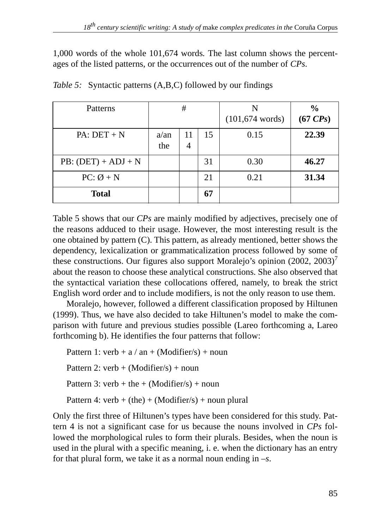1,000 words of the whole 101,674 words*.* The last column shows the percentages of the listed patterns, or the occurrences out of the number of *CPs*.

| Patterns              |                | #       |    | $(101, 674$ words) | $\frac{6}{9}$<br>$(67 \text{ }CPs)$ |
|-----------------------|----------------|---------|----|--------------------|-------------------------------------|
| $PA: DET + N$         | $a$ /an<br>the | 11<br>4 | 15 | 0.15               | 22.39                               |
| $PB: (DET) + ADJ + N$ |                |         | 31 | 0.30               | 46.27                               |
| $PC: \emptyset + N$   |                |         | 21 | 0.21               | 31.34                               |
| <b>Total</b>          |                |         | 67 |                    |                                     |

*Table 5:* Syntactic patterns (A,B,C) followed by our findings

Table 5 shows that our *CPs* are mainly modified by adjectives, precisely one of the reasons adduced to their usage. However, the most interesting result is the one obtained by pattern (C). This pattern, as already mentioned, better shows the dependency, lexicalization or grammaticalization process followed by some of these constructions. Our figures also support Moralejo's opinion  $(2002, 2003)^7$ about the reason to choose these analytical constructions. She also observed that the syntactical variation these collocations offered, namely, to break the strict English word order and to include modifiers, is not the only reason to use them.

Moralejo, however, followed a different classification proposed by Hiltunen (1999). Thus, we have also decided to take Hiltunen's model to make the comparison with future and previous studies possible (Lareo forthcoming a, Lareo forthcoming b). He identifies the four patterns that follow:

Pattern 1: verb +  $a / an + (Modifier/s) + noun$ Pattern 2: verb +  $(Modifier/s)$  + noun Pattern 3: verb + the + (Modifier/s) + noun Pattern 4: verb + (the) + (Modifier/s) + noun plural

Only the first three of Hiltunen's types have been considered for this study. Pattern 4 is not a significant case for us because the nouns involved in *CPs* followed the morphological rules to form their plurals. Besides, when the noun is used in the plural with a specific meaning, i. e. when the dictionary has an entry for that plural form, we take it as a normal noun ending in –*s*.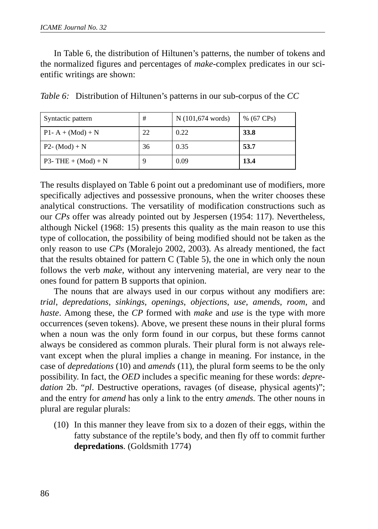In Table 6, the distribution of Hiltunen's patterns, the number of tokens and the normalized figures and percentages of *make*-complex predicates in our scientific writings are shown:

| Syntactic pattern      | #  | N (101,674 words) | $% (67 \text{ CPs})$ |
|------------------------|----|-------------------|----------------------|
| $P1 - A + (Mod) + N$   | 22 | 0.22              | 33.8                 |
| $P2 - (Mod) + N$       | 36 | 0.35              | 53.7                 |
| $P3 - THE + (Mod) + N$ | g  | 0.09              | 13.4                 |

*Table 6:* Distribution of Hiltunen's patterns in our sub-corpus of the *CC*

The results displayed on Table 6 point out a predominant use of modifiers, more specifically adjectives and possessive pronouns, when the writer chooses these analytical constructions. The versatility of modification constructions such as our *CPs* offer was already pointed out by Jespersen (1954: 117). Nevertheless, although Nickel (1968: 15) presents this quality as the main reason to use this type of collocation, the possibility of being modified should not be taken as the only reason to use *CPs* (Moralejo 2002, 2003). As already mentioned, the fact that the results obtained for pattern C (Table 5), the one in which only the noun follows the verb *make*, without any intervening material, are very near to the ones found for pattern B supports that opinion.

The nouns that are always used in our corpus without any modifiers are: *trial*, *depredations*, *sinkings*, *openings*, *objections*, *use*, *amends*, *room*, and *haste*. Among these, the *CP* formed with *make* and *use* is the type with more occurrences (seven tokens). Above, we present these nouns in their plural forms when a noun was the only form found in our corpus, but these forms cannot always be considered as common plurals. Their plural form is not always relevant except when the plural implies a change in meaning. For instance, in the case of *depredations* (10) and *amends* (11), the plural form seems to be the only possibility. In fact, the *OED* includes a specific meaning for these words: *depre*dation 2b. "*pl*. Destructive operations, ravages (of disease, physical agents)"; and the entry for *amend* has only a link to the entry *amends.* The other nouns in plural are regular plurals:

(10) In this manner they leave from six to a dozen of their eggs, within the fatty substance of the reptile's body, and then fly off to commit further **depredations**. (Goldsmith 1774)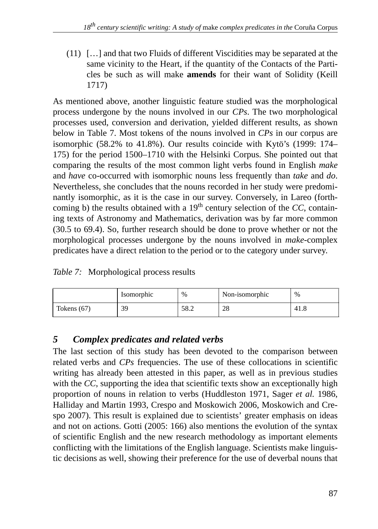(11) […] and that two Fluids of different Viscidities may be separated at the same vicinity to the Heart, if the quantity of the Contacts of the Particles be such as will make **amends** for their want of Solidity (Keill 1717)

As mentioned above, another linguistic feature studied was the morphological process undergone by the nouns involved in our *CPs*. The two morphological processes used, conversion and derivation, yielded different results, as shown below in Table 7. Most tokens of the nouns involved in *CPs* in our corpus are isomorphic (58.2% to 41.8%). Our results coincide with Kytö's (1999: 174– 175) for the period 1500–1710 with the Helsinki Corpus. She pointed out that comparing the results of the most common light verbs found in English *make* and *have* co-occurred with isomorphic nouns less frequently than *take* and *do*. Nevertheless, she concludes that the nouns recorded in her study were predominantly isomorphic, as it is the case in our survey. Conversely, in Lareo (forthcoming b) the results obtained with a  $19<sup>th</sup>$  century selection of the *CC*, containing texts of Astronomy and Mathematics, derivation was by far more common (30.5 to 69.4). So, further research should be done to prove whether or not the morphological processes undergone by the nouns involved in *make*-complex predicates have a direct relation to the period or to the category under survey.

*Table 7:* Morphological process results

|               | Isomorphic | %    | Non-isomorphic | %    |
|---------------|------------|------|----------------|------|
| Tokens $(67)$ | 39         | 58.2 | 28             | 41.8 |

# *5 Complex predicates and related verbs*

The last section of this study has been devoted to the comparison between related verbs and *CPs* frequencies. The use of these collocations in scientific writing has already been attested in this paper, as well as in previous studies with the *CC*, supporting the idea that scientific texts show an exceptionally high proportion of nouns in relation to verbs (Huddleston 1971, Sager *et al.* 1986, Halliday and Martin 1993, Crespo and Moskowich 2006, Moskowich and Crespo 2007). This result is explained due to scientists' greater emphasis on ideas and not on actions. Gotti (2005: 166) also mentions the evolution of the syntax of scientific English and the new research methodology as important elements conflicting with the limitations of the English language. Scientists make linguistic decisions as well, showing their preference for the use of deverbal nouns that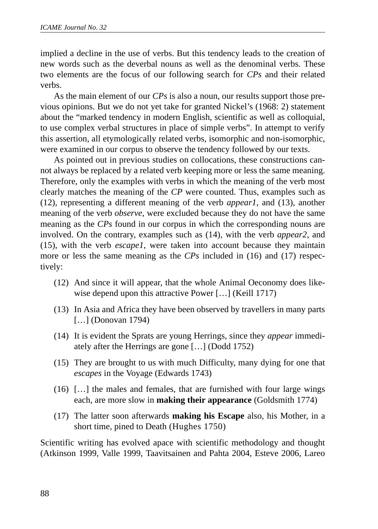implied a decline in the use of verbs. But this tendency leads to the creation of new words such as the deverbal nouns as well as the denominal verbs. These two elements are the focus of our following search for *CPs* and their related verbs.

As the main element of our *CPs* is also a noun, our results support those previous opinions. But we do not yet take for granted Nickel's (1968: 2) statement about the "marked tendency in modern English, scientific as well as colloquial, to use complex verbal structures in place of simple verbs". In attempt to verify this assertion, all etymologically related verbs, isomorphic and non-isomorphic, were examined in our corpus to observe the tendency followed by our texts.

As pointed out in previous studies on collocations, these constructions cannot always be replaced by a related verb keeping more or less the same meaning. Therefore, only the examples with verbs in which the meaning of the verb most clearly matches the meaning of the *CP* were counted. Thus, examples such as (12), representing a different meaning of the verb *appear1*, and (13), another meaning of the verb *observe*, were excluded because they do not have the same meaning as the *CPs* found in our corpus in which the corresponding nouns are involved. On the contrary, examples such as (14), with the verb *appear2*, and (15), with the verb *escape1*, were taken into account because they maintain more or less the same meaning as the *CPs* included in (16) and (17) respectively:

- (12) And since it will appear, that the whole Animal Oeconomy does likewise depend upon this attractive Power […] (Keill 1717)
- (13) In Asia and Africa they have been observed by travellers in many parts [...] (Donovan 1794)
- (14) It is evident the Sprats are young Herrings, since they *appear* immediately after the Herrings are gone […] (Dodd 1752)
- (15) They are brought to us with much Difficulty, many dying for one that *escapes* in the Voyage (Edwards 1743)
- (16) […] the males and females, that are furnished with four large wings each, are more slow in **making their appearance** (Goldsmith 1774)
- (17) The latter soon afterwards **making his Escape** also, his Mother, in a short time, pined to Death (Hughes 1750)

Scientific writing has evolved apace with scientific methodology and thought (Atkinson 1999, Valle 1999, Taavitsainen and Pahta 2004, Esteve 2006, Lareo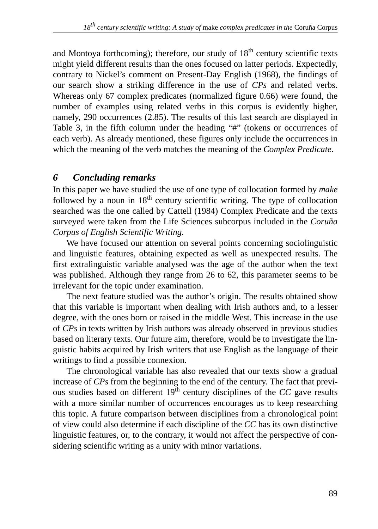and Montoya forthcoming); therefore, our study of  $18<sup>th</sup>$  century scientific texts might yield different results than the ones focused on latter periods. Expectedly, contrary to Nickel's comment on Present-Day English (1968), the findings of our search show a striking difference in the use of *CPs* and related verbs. Whereas only 67 complex predicates (normalized figure 0.66) were found, the number of examples using related verbs in this corpus is evidently higher, namely, 290 occurrences (2.85). The results of this last search are displayed in Table 3, in the fifth column under the heading "#" (tokens or occurrences of each verb). As already mentioned, these figures only include the occurrences in which the meaning of the verb matches the meaning of the *Complex Predicate*.

# *6 Concluding remarks*

In this paper we have studied the use of one type of collocation formed by *make* followed by a noun in  $18<sup>th</sup>$  century scientific writing. The type of collocation searched was the one called by Cattell (1984) Complex Predicate and the texts surveyed were taken from the Life Sciences subcorpus included in the *Coruña Corpus of English Scientific Writing.* 

We have focused our attention on several points concerning sociolinguistic and linguistic features, obtaining expected as well as unexpected results. The first extralinguistic variable analysed was the age of the author when the text was published. Although they range from 26 to 62, this parameter seems to be irrelevant for the topic under examination.

The next feature studied was the author's origin. The results obtained show that this variable is important when dealing with Irish authors and, to a lesser degree, with the ones born or raised in the middle West. This increase in the use of *CPs* in texts written by Irish authors was already observed in previous studies based on literary texts. Our future aim, therefore, would be to investigate the linguistic habits acquired by Irish writers that use English as the language of their writings to find a possible connexion.

The chronological variable has also revealed that our texts show a gradual increase of *CPs* from the beginning to the end of the century. The fact that previous studies based on different  $19<sup>th</sup>$  century disciplines of the *CC* gave results with a more similar number of occurrences encourages us to keep researching this topic. A future comparison between disciplines from a chronological point of view could also determine if each discipline of the *CC* has its own distinctive linguistic features, or, to the contrary, it would not affect the perspective of considering scientific writing as a unity with minor variations.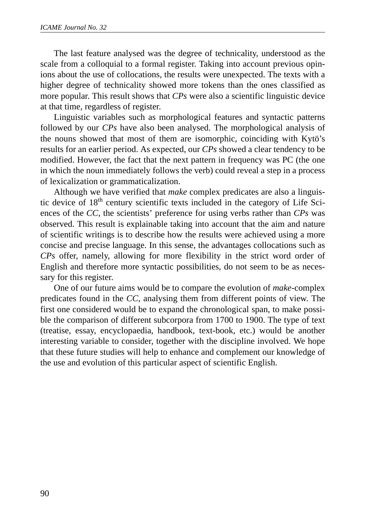The last feature analysed was the degree of technicality, understood as the scale from a colloquial to a formal register. Taking into account previous opinions about the use of collocations, the results were unexpected. The texts with a higher degree of technicality showed more tokens than the ones classified as more popular. This result shows that *CPs* were also a scientific linguistic device at that time, regardless of register.

Linguistic variables such as morphological features and syntactic patterns followed by our *CPs* have also been analysed. The morphological analysis of the nouns showed that most of them are isomorphic, coinciding with Kytö's results for an earlier period. As expected, our *CPs* showed a clear tendency to be modified. However, the fact that the next pattern in frequency was PC (the one in which the noun immediately follows the verb) could reveal a step in a process of lexicalization or grammaticalization.

Although we have verified that *make* complex predicates are also a linguistic device of 18<sup>th</sup> century scientific texts included in the category of Life Sciences of the *CC*, the scientists' preference for using verbs rather than *CPs* was observed. This result is explainable taking into account that the aim and nature of scientific writings is to describe how the results were achieved using a more concise and precise language. In this sense, the advantages collocations such as *CPs* offer, namely, allowing for more flexibility in the strict word order of English and therefore more syntactic possibilities, do not seem to be as necessary for this register.

One of our future aims would be to compare the evolution of *make*-complex predicates found in the *CC*, analysing them from different points of view. The first one considered would be to expand the chronological span, to make possible the comparison of different subcorpora from 1700 to 1900. The type of text (treatise, essay, encyclopaedia, handbook, text-book, etc.) would be another interesting variable to consider, together with the discipline involved. We hope that these future studies will help to enhance and complement our knowledge of the use and evolution of this particular aspect of scientific English.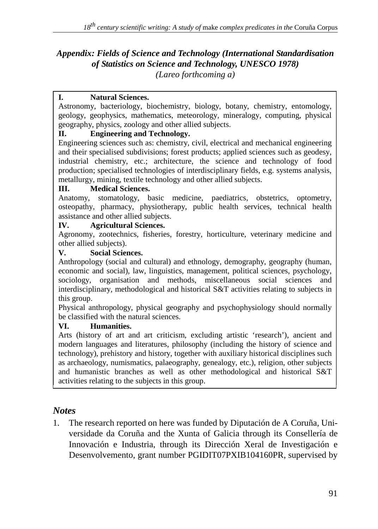### *Appendix: Fields of Science and Technology (International Standardisation of Statistics on Science and Technology, UNESCO 1978) (Lareo forthcoming a)*

#### **I. Natural Sciences.**

Astronomy, bacteriology, biochemistry, biology, botany, chemistry, entomology, geology, geophysics, mathematics, meteorology, mineralogy, computing, physical geography, physics, zoology and other allied subjects.

### **II. Engineering and Technology.**

Engineering sciences such as: chemistry, civil, electrical and mechanical engineering and their specialised subdivisions; forest products; applied sciences such as geodesy, industrial chemistry, etc.; architecture, the science and technology of food production; specialised technologies of interdisciplinary fields, e.g. systems analysis, metallurgy, mining, textile technology and other allied subjects.

#### **III. Medical Sciences.**

Anatomy, stomatology, basic medicine, paediatrics, obstetrics, optometry, osteopathy, pharmacy, physiotherapy, public health services, technical health assistance and other allied subjects.

### **IV. Agricultural Sciences.**

Agronomy, zootechnics, fisheries, forestry, horticulture, veterinary medicine and other allied subjects).

#### **V. Social Sciences.**

Anthropology (social and cultural) and ethnology, demography, geography (human, economic and social), law, linguistics, management, political sciences, psychology, sociology, organisation and methods, miscellaneous social sciences and interdisciplinary, methodological and historical S&T activities relating to subjects in this group.

Physical anthropology, physical geography and psychophysiology should normally be classified with the natural sciences.

### **VI. Humanities.**

Arts (history of art and art criticism, excluding artistic 'research'), ancient and modern languages and literatures, philosophy (including the history of science and technology), prehistory and history, together with auxiliary historical disciplines such as archaeology, numismatics, palaeography, genealogy, etc.), religion, other subjects and humanistic branches as well as other methodological and historical S&T activities relating to the subjects in this group.

### *Notes*

1. The research reported on here was funded by Diputación de A Coruña, Universidade da Coruña and the Xunta of Galicia through its Consellería de Innovación e Industria, through its Dirección Xeral de Investigación e Desenvolvemento, grant number PGIDIT07PXIB104160PR, supervised by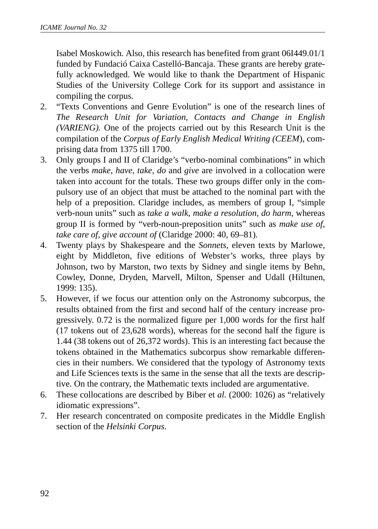Isabel Moskowich. Also, this research has benefited from grant 06I449.01/1 funded by Fundació Caixa Castelló-Bancaja. These grants are hereby gratefully acknowledged. We would like to thank the Department of Hispanic Studies of the University College Cork for its support and assistance in compiling the corpus.

- 2. "Texts Conventions and Genre Evolution" is one of the research lines of *The Research Unit for Variation, Contacts and Change in English (VARIENG).* One of the projects carried out by this Research Unit is the compilation of the *Corpus of Early English Medical Writing (CEEM*), comprising data from 1375 till 1700.
- 3. Only groups I and II of Claridge's "verbo-nominal combinations" in which the verbs *make*, *have*, *take*, *do* and *give* are involved in a collocation were taken into account for the totals. These two groups differ only in the compulsory use of an object that must be attached to the nominal part with the help of a preposition. Claridge includes, as members of group I, "simple verb-noun units" such as *take a walk, make a resolution, do harm*, whereas group II is formed by "verb-noun-preposition units" such as *make use of, take care of, give account of* (Claridge 2000: 40, 69–81)*.*
- 4. Twenty plays by Shakespeare and the *Sonnets,* eleven texts by Marlowe, eight by Middleton, five editions of Webster's works, three plays by Johnson, two by Marston, two texts by Sidney and single items by Behn, Cowley, Donne, Dryden, Marvell, Milton, Spenser and Udall (Hiltunen, 1999: 135).
- 5. However, if we focus our attention only on the Astronomy subcorpus, the results obtained from the first and second half of the century increase progressively. 0.72 is the normalized figure per 1,000 words for the first half (17 tokens out of 23,628 words), whereas for the second half the figure is 1.44 (38 tokens out of 26,372 words). This is an interesting fact because the tokens obtained in the Mathematics subcorpus show remarkable differencies in their numbers. We considered that the typology of Astronomy texts and Life Sciences texts is the same in the sense that all the texts are descriptive. On the contrary, the Mathematic texts included are argumentative.
- 6. These collocations are described by Biber et *al.* (2000: 1026) as "relatively idiomatic expressions".
- 7. Her research concentrated on composite predicates in the Middle English section of the *Helsinki Corpus*.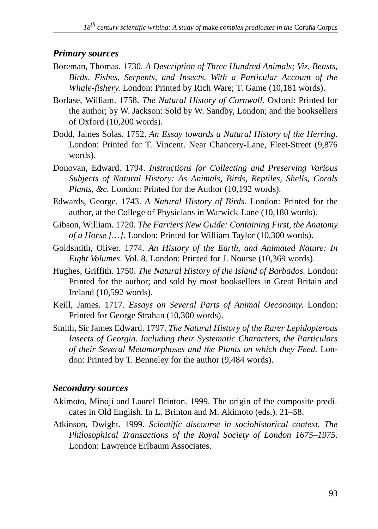## *Primary sources*

- Boreman, Thomas. 1730. *A Description of Three Hundred Animals; Viz. Beasts, Birds, Fishes, Serpents, and Insects. With a Particular Account of the Whale-fishery.* London: Printed by Rich Ware; T. Game (10,181 words).
- Borlase, William. 1758. *The Natural History of Cornwall.* Oxford: Printed for the author; by W. Jackson: Sold by W. Sandby, London; and the booksellers of Oxford (10,200 words).
- Dodd, James Solas. 1752. *An Essay towards a Natural History of the Herring*. London: Printed for T. Vincent. Near Chancery-Lane, Fleet-Street (9,876 words).
- Donovan, Edward. 1794. *Instructions for Collecting and Preserving Various Subjects of Natural History: As Animals, Birds, Reptiles, Shells, Corals Plants, &c.* London: Printed for the Author (10,192 words).
- Edwards, George. 1743. *A Natural History of Birds.* London: Printed for the author, at the College of Physicians in Warwick-Lane (10,180 words).
- Gibson, William. 1720. *The Farriers New Guide: Containing First, the Anatomy of a Horse […]*. London: Printed for William Taylor (10,300 words).
- Goldsmith, Oliver. 1774. *An History of the Earth, and Animated Nature: In Eight Volumes*. Vol. 8. London: Printed for J. Nourse (10,369 words).
- Hughes, Griffith. 1750. *The Natural History of the Island of Barbados.* London: Printed for the author; and sold by most booksellers in Great Britain and Ireland (10,592 words).
- Keill, James. 1717. *Essays on Several Parts of Animal Oeconomy*. London: Printed for George Strahan (10,300 words).
- Smith, Sir James Edward. 1797. *The Natural History of the Rarer Lepidopterous Insects of Georgia. Including their Systematic Characters, the Particulars of their Several Metamorphoses and the Plants on which they Feed.* London: Printed by T. Benneley for the author (9,484 words).

# *Secondary sources*

- Akimoto, Minoji and Laurel Brinton. 1999. The origin of the composite predicates in Old English. In L. Brinton and M. Akimoto (eds.). 21–58.
- Atkinson, Dwight. 1999. *Scientific discourse in sociohistorical context. The Philosophical Transactions of the Royal Society of London 1675–1975*. London: Lawrence Erlbaum Associates.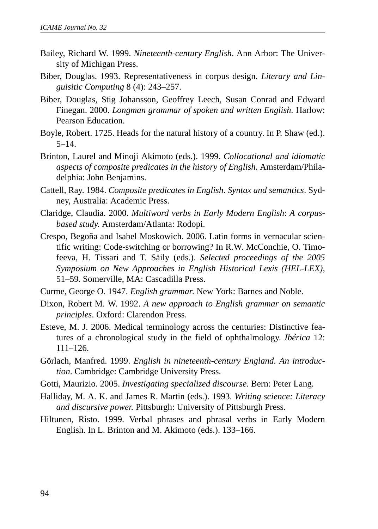- Bailey, Richard W. 1999. *Nineteenth-century English*. Ann Arbor: The University of Michigan Press.
- Biber, Douglas. 1993. Representativeness in corpus design. *Literary and Linguisitic Computing* 8 (4): 243–257.
- Biber, Douglas, Stig Johansson, Geoffrey Leech, Susan Conrad and Edward Finegan. 2000. *Longman grammar of spoken and written English.* Harlow: Pearson Education.
- Boyle, Robert. 1725. Heads for the natural history of a country. In P. Shaw (ed.).  $5-14.$
- Brinton, Laurel and Minoji Akimoto (eds.). 1999. *Collocational and idiomatic aspects of composite predicates in the history of English*. Amsterdam/Philadelphia: John Benjamins.
- Cattell, Ray. 1984. *Composite predicates in English*. *Syntax and semantics*. Sydney, Australia: Academic Press.
- Claridge, Claudia. 2000. *Multiword verbs in Early Modern English*: *A corpusbased study.* Amsterdam/Atlanta: Rodopi.
- Crespo, Begoña and Isabel Moskowich. 2006. Latin forms in vernacular scientific writing: Code-switching or borrowing? In R.W. McConchie, O. Timofeeva, H. Tissari and T. Säily (eds.). *Selected proceedings of the 2005 Symposium on New Approaches in English Historical Lexis (HEL-LEX),* 51–59*.* Somerville, MA: Cascadilla Press.
- Curme, George O. 1947. *English grammar*. New York: Barnes and Noble.
- Dixon, Robert M. W. 1992. *A new approach to English grammar on semantic principles*. Oxford: Clarendon Press.
- Esteve, M. J. 2006. Medical terminology across the centuries: Distinctive features of a chronological study in the field of ophthalmology. *Ibérica* 12: 111–126.
- Görlach, Manfred. 1999. *English in nineteenth-century England. An introduction*. Cambridge: Cambridge University Press.
- Gotti, Maurizio. 2005. *Investigating specialized discourse*. Bern: Peter Lang*.*
- Halliday, M. A. K. and James R. Martin (eds.). 1993. *Writing science: Literacy and discursive power.* Pittsburgh: University of Pittsburgh Press.
- Hiltunen, Risto. 1999. Verbal phrases and phrasal verbs in Early Modern English. In L. Brinton and M. Akimoto (eds.). 133–166.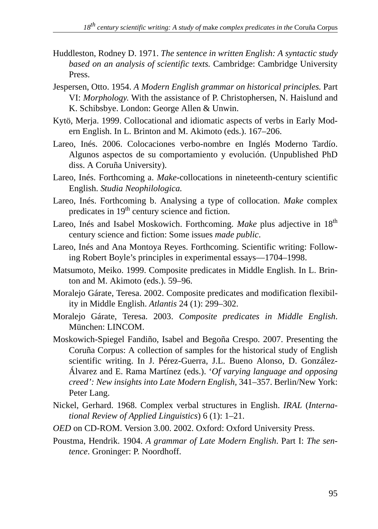- Huddleston, Rodney D. 1971. *The sentence in written English: A syntactic study based on an analysis of scientific texts.* Cambridge: Cambridge University Press.
- Jespersen, Otto. 1954. *A Modern English grammar on historical principles.* Part VI: *Morphology*. With the assistance of P. Christophersen, N. Haislund and K. Schibsbye. London: George Allen & Unwin.
- Kytö, Merja. 1999. Collocational and idiomatic aspects of verbs in Early Modern English. In L. Brinton and M. Akimoto (eds.). 167–206.
- Lareo, Inés. 2006. Colocaciones verbo-nombre en Inglés Moderno Tardío. Algunos aspectos de su comportamiento y evolución. (Unpublished PhD diss. A Coruña University).
- Lareo, Inés. Forthcoming a. *Make*-collocations in nineteenth-century scientific English. *Studia Neophilologica.*
- Lareo, Inés. Forthcoming b. Analysing a type of collocation. *Make* complex predicates in 19<sup>th</sup> century science and fiction.
- Lareo, Inés and Isabel Moskowich. Forthcoming. *Make* plus adjective in 18th century science and fiction: Some issues *made public*.
- Lareo, Inés and Ana Montoya Reyes. Forthcoming. Scientific writing: Following Robert Boyle's principles in experimental essays—1704–1998.
- Matsumoto, Meiko. 1999. Composite predicates in Middle English. In L. Brinton and M. Akimoto (eds.). 59–96.
- Moralejo Gárate, Teresa. 2002. Composite predicates and modification flexibility in Middle English. *Atlantis* 24 (1): 299–302.
- Moralejo Gárate, Teresa. 2003. *Composite predicates in Middle English*. München: LINCOM.
- Moskowich-Spiegel Fandiño, Isabel and Begoña Crespo. 2007. Presenting the Coruña Corpus: A collection of samples for the historical study of English scientific writing. In J. Pérez-Guerra, J.L. Bueno Alonso, D. González-Álvarez and E. Rama Martínez (eds.). '*Of varying language and opposing creed': New insights into Late Modern English,* 341–357. Berlin/New York: Peter Lang.
- Nickel, Gerhard. 1968. Complex verbal structures in English. *IRAL* (*International Review of Applied Linguistics*) 6 (1): 1–21.
- *OED* on CD-ROM. Version 3.00. 2002. Oxford: Oxford University Press.
- Poustma, Hendrik. 1904. *A grammar of Late Modern English*. Part I: *The sentence*. Groninger: P. Noordhoff.